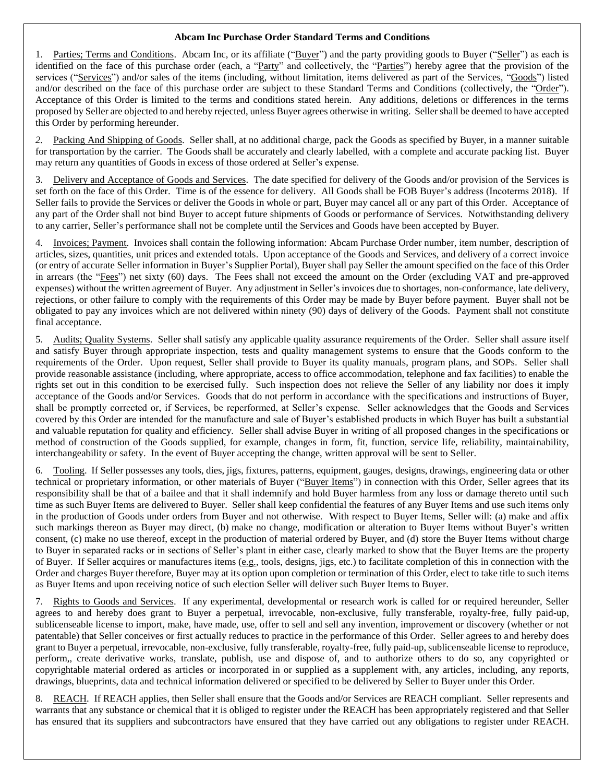## **Abcam Inc Purchase Order Standard Terms and Conditions**

Parties; Terms and Conditions. Abcam Inc, or its affiliate ("Buyer") and the party providing goods to Buyer ("Seller") as each is identified on the face of this purchase order (each, a "Party" and collectively, the "Parties") hereby agree that the provision of the services ("Services") and/or sales of the items (including, without limitation, items delivered as part of the Services, "Goods") listed and/or described on the face of this purchase order are subject to these Standard Terms and Conditions (collectively, the "Order"). Acceptance of this Order is limited to the terms and conditions stated herein. Any additions, deletions or differences in the terms proposed by Seller are objected to and hereby rejected, unless Buyer agrees otherwise in writing. Seller shall be deemed to have accepted this Order by performing hereunder.

Packing And Shipping of Goods. Seller shall, at no additional charge, pack the Goods as specified by Buyer, in a manner suitable for transportation by the carrier. The Goods shall be accurately and clearly labelled, with a complete and accurate packing list. Buyer may return any quantities of Goods in excess of those ordered at Seller's expense.

3. Delivery and Acceptance of Goods and Services. The date specified for delivery of the Goods and/or provision of the Services is set forth on the face of this Order. Time is of the essence for delivery. All Goods shall be FOB Buyer's address (Incoterms 2018). If Seller fails to provide the Services or deliver the Goods in whole or part, Buyer may cancel all or any part of this Order. Acceptance of any part of the Order shall not bind Buyer to accept future shipments of Goods or performance of Services. Notwithstanding delivery to any carrier, Seller's performance shall not be complete until the Services and Goods have been accepted by Buyer.

4. Invoices; Payment. Invoices shall contain the following information: Abcam Purchase Order number, item number, description of articles, sizes, quantities, unit prices and extended totals. Upon acceptance of the Goods and Services, and delivery of a correct invoice (or entry of accurate Seller information in Buyer's Supplier Portal), Buyer shall pay Seller the amount specified on the face of this Order in arrears (the "Fees") net sixty (60) days. The Fees shall not exceed the amount on the Order (excluding VAT and pre-approved expenses) without the written agreement of Buyer. Any adjustment in Seller's invoices due to shortages, non-conformance, late delivery, rejections, or other failure to comply with the requirements of this Order may be made by Buyer before payment. Buyer shall not be obligated to pay any invoices which are not delivered within ninety (90) days of delivery of the Goods. Payment shall not constitute final acceptance.

5. Audits; Quality Systems. Seller shall satisfy any applicable quality assurance requirements of the Order. Seller shall assure itself and satisfy Buyer through appropriate inspection, tests and quality management systems to ensure that the Goods conform to the requirements of the Order. Upon request, Seller shall provide to Buyer its quality manuals, program plans, and SOPs. Seller shall provide reasonable assistance (including, where appropriate, access to office accommodation, telephone and fax facilities) to enable the rights set out in this condition to be exercised fully. Such inspection does not relieve the Seller of any liability nor does it imply acceptance of the Goods and/or Services. Goods that do not perform in accordance with the specifications and instructions of Buyer, shall be promptly corrected or, if Services, be reperformed, at Seller's expense. Seller acknowledges that the Goods and Services covered by this Order are intended for the manufacture and sale of Buyer's established products in which Buyer has built a substantial and valuable reputation for quality and efficiency. Seller shall advise Buyer in writing of all proposed changes in the specifications or method of construction of the Goods supplied, for example, changes in form, fit, function, service life, reliability, maintainability, interchangeability or safety. In the event of Buyer accepting the change, written approval will be sent to Seller.

6. Tooling. If Seller possesses any tools, dies, jigs, fixtures, patterns, equipment, gauges, designs, drawings, engineering data or other technical or proprietary information, or other materials of Buyer ("Buyer Items") in connection with this Order, Seller agrees that its responsibility shall be that of a bailee and that it shall indemnify and hold Buyer harmless from any loss or damage thereto until such time as such Buyer Items are delivered to Buyer. Seller shall keep confidential the features of any Buyer Items and use such items only in the production of Goods under orders from Buyer and not otherwise. With respect to Buyer Items, Seller will: (a) make and affix such markings thereon as Buyer may direct, (b) make no change, modification or alteration to Buyer Items without Buyer's written consent, (c) make no use thereof, except in the production of material ordered by Buyer, and (d) store the Buyer Items without charge to Buyer in separated racks or in sections of Seller's plant in either case, clearly marked to show that the Buyer Items are the property of Buyer. If Seller acquires or manufactures items (e.g., tools, designs, jigs, etc.) to facilitate completion of this in connection with the Order and charges Buyer therefore, Buyer may at its option upon completion or termination of this Order, elect to take title to such items as Buyer Items and upon receiving notice of such election Seller will deliver such Buyer Items to Buyer.

7. Rights to Goods and Services. If any experimental, developmental or research work is called for or required hereunder, Seller agrees to and hereby does grant to Buyer a perpetual, irrevocable, non-exclusive, fully transferable, royalty-free, fully paid-up, sublicenseable license to import, make, have made, use, offer to sell and sell any invention, improvement or discovery (whether or not patentable) that Seller conceives or first actually reduces to practice in the performance of this Order. Seller agrees to and hereby does grant to Buyer a perpetual, irrevocable, non-exclusive, fully transferable, royalty-free, fully paid-up, sublicenseable license to reproduce, perform,, create derivative works, translate, publish, use and dispose of, and to authorize others to do so, any copyrighted or copyrightable material ordered as articles or incorporated in or supplied as a supplement with, any articles, including, any reports, drawings, blueprints, data and technical information delivered or specified to be delivered by Seller to Buyer under this Order.

8. REACH. If REACH applies, then Seller shall ensure that the Goods and/or Services are REACH compliant. Seller represents and warrants that any substance or chemical that it is obliged to register under the REACH has been appropriately registered and that Seller has ensured that its suppliers and subcontractors have ensured that they have carried out any obligations to register under REACH.